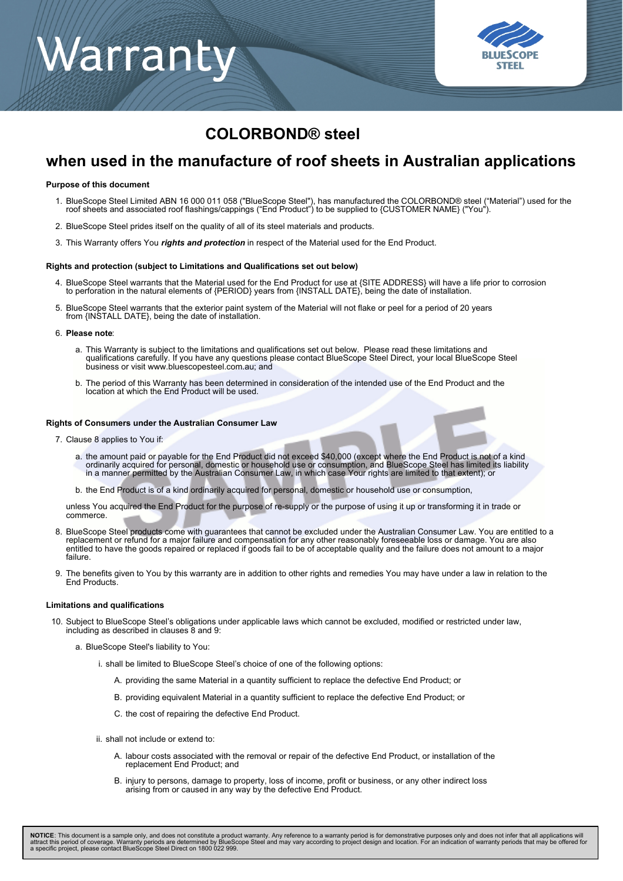# Warranty



### **COLORBOND® steel**

### **when used in the manufacture of roof sheets in Australian applications**

#### **Purpose of this document**

- BlueScope Steel Limited ABN 16 000 011 058 ("BlueScope Steel"), has manufactured the COLORBOND® steel ("Material") used for the<br>roof sheets and associated roof flashings/cappings ("End Product") to be supplied to {CUSTOMER 1.
- 2. BlueScope Steel prides itself on the quality of all of its steel materials and products.
- 3. This Warranty offers You *rights and protection* in respect of the Material used for the End Product.

#### **Rights and protection (subject to Limitations and Qualifications set out below)**

- 4. BlueScope Steel warrants that the Material used for the End Product for use at {SITE ADDRESS} will have a life prior to corrosion to perforation in the natural elements of {PERIOD} years from {INSTALL DATE}, being the date of installation.
- BlueScope Steel warrants that the exterior paint system of the Material will not flake or peel for a period of 20 years 5. from {INSTALL DATE}, being the date of installation.

#### **Please note**: 6.

- a. This Warranty is subject to the limitations and qualifications set out below. Please read these limitations and qualifications carefully. If you have any questions please contact BlueScope Steel Direct, your local BlueScope Steel business or visit www.bluescopesteel.com.au; and
- The period of this Warranty has been determined in consideration of the intended use of the End Product and the location at which the End Product will be used. b.

#### **Rights of Consumers under the Australian Consumer Law**

- 7. Clause 8 applies to You if:
	- the amount paid or payable for the End Product did not exceed \$40,000 (except where the End Product is not of a kind ordinarily acquired for personal, domestic or household use or consumption, and BlueScope Steel has limited its liability in a manner permitted by the Australian Consumer Law, in which case Your rights are limited to that extent); or a.
	- b. the End Product is of a kind ordinarily acquired for personal, domestic or household use or consumption,

unless You acquired the End Product for the purpose of re-supply or the purpose of using it up or transforming it in trade or commerce.

- BlueScope Steel products come with guarantees that cannot be excluded under the Australian Consumer Law. You are entitled to a 8. replacement or refund for a major failure and compensation for any other reasonably foreseeable loss or damage. You are also entitled to have the goods repaired or replaced if goods fail to be of acceptable quality and the failure does not amount to a major failure.
- The benefits given to You by this warranty are in addition to other rights and remedies You may have under a law in relation to the 9. End Products.

#### **Limitations and qualifications**

- 10. Subject to BlueScope Steel's obligations under applicable laws which cannot be excluded, modified or restricted under law, including as described in clauses 8 and 9:
	- a. BlueScope Steel's liability to You:
		- i. shall be limited to BlueScope Steel's choice of one of the following options:
			- A. providing the same Material in a quantity sufficient to replace the defective End Product; or
			- B. providing equivalent Material in a quantity sufficient to replace the defective End Product; or
			- C. the cost of repairing the defective End Product.
		- ii. shall not include or extend to:
			- A. labour costs associated with the removal or repair of the defective End Product, or installation of the replacement End Product; and
			- B. injury to persons, damage to property, loss of income, profit or business, or any other indirect loss arising from or caused in any way by the defective End Product.

**NOTICE**: This document is a sample only, and does not constitute a product warranty. Any reference to a warranty period is for demonstrative purposes only and does not infer that all applications will<br>attract this period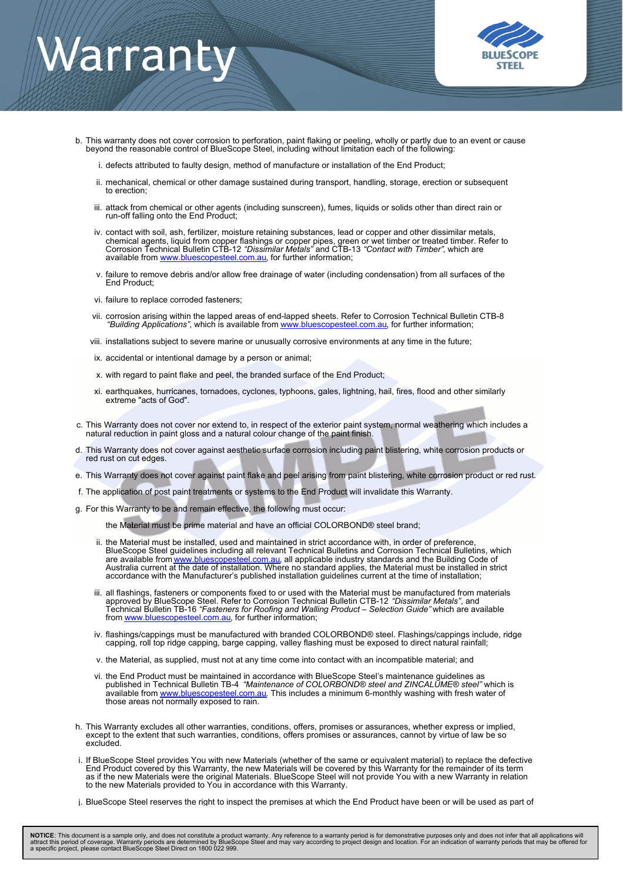## Warranty



- b. This warranty does not cover corrosion to perforation, paint flaking or peeling, wholly or partly due to an event or cause beyond the reasonable control of BlueScope Steel, including without limitation each of the following:
	- i. defects attributed to faulty design, method of manufacture or installation of the End Product;
	- ii. mechanical, chemical or other damage sustained during transport, handling, storage, erection or subsequent to erection;
	- iii. attack from chemical or other agents (including sunscreen), fumes, liquids or solids other than direct rain or run-off falling onto the End Product;
	- iv. contact with soil, ash, fertilizer, moisture retaining substances, lead or copper and other dissimilar metals, chemical agents, liquid from copper flashings or copper pipes, green or wet timber or treated timber. Refer to Corrosion Technical Bulletin CTB-12 *"Dissimilar Metals"* and CTB-13 *"Contact with Timber"*, which are available from [www.bluescopesteel.com.au](http://www.bluescopesteel.com.au), for further information;
	- failure to remove debris and/or allow free drainage of water (including condensation) from all surfaces of the End Product; v.
	- vi. failure to replace corroded fasteners;
	- vii. corrosion arising within the lapped areas of end-lapped sheets. Refer to Corrosion Technical Bulletin CTB-8 *"Building Applications"*, which is available from [www.bluescopesteel.com.au](http://www.bluescopesteel.com.au), for further information;
	- viii. installations subject to severe marine or unusually corrosive environments at any time in the future;
	- ix. accidental or intentional damage by a person or animal;
	- x. with regard to paint flake and peel, the branded surface of the End Product;
	- earthquakes, hurricanes, tornadoes, cyclones, typhoons, gales, lightning, hail, fires, flood and other similarly xi. extreme "acts of God".
- c. This Warranty does not cover nor extend to, in respect of the exterior paint system, normal weathering which includes a natural reduction in paint gloss and a natural colour change of the paint finish.
- This Warranty does not cover against aesthetic surface corrosion including paint blistering, white corrosion products or red rust on cut edges. d.
- e. This Warranty does not cover against paint flake and peel arising from paint blistering, white corrosion product or red rust.
- f. The application of post paint treatments or systems to the End Product will invalidate this Warranty.
- g. For this Warranty to be and remain effective, the following must occur:
	- the Material must be prime material and have an official COLORBOND® steel brand;
	- ii. the Material must be installed, used and maintained in strict accordance with, in order of preference, BlueScope Steel guidelines including all relevant Technical Bulletins and Corrosion Technical Bulletins, which are available from <u>www.bluescopesteel.com.au</u>, all applicable industry standards and the Building Code of Australia current at the date of installation. Where no standard applies, the Material must be installed in strict accordance with the Manufacturer's published installation guidelines current at the time of installation;
	- iii. all flashings, fasteners or components fixed to or used with the Material must be manufactured from materials approved by BlueScope Steel. Refer to Corrosion Technical Bulletin CTB-12 *"Dissimilar Metals"*, and Technical Bulletin TB-16 *"Fasteners for Roofing and Walling Product – Selection Guide"* which are available from [www.bluescopesteel.com.au](http://www.bluescopesteel.com.au), for further information;
	- iv. flashings/cappings must be manufactured with branded COLORBOND® steel. Flashings/cappings include, ridge capping, roll top ridge capping, barge capping, valley flashing must be exposed to direct natural rainfall;
	- v. the Material, as supplied, must not at any time come into contact with an incompatible material; and
	- the End Product must be maintained in accordance with BlueScope Steel's maintenance guidelines as published in Technical Bulletin TB-4 *"Maintenance of COLORBOND® steel and ZINCALUME® steel"* which is available from [www.bluescopesteel.com.au](http://www.bluescopesteel.com.au)</u>. This includes a minimum 6-monthly washing with fresh water of those areas not normally exposed to rain. vi.
- h. This Warranty excludes all other warranties, conditions, offers, promises or assurances, whether express or implied, except to the extent that such warranties, conditions, offers promises or assurances, cannot by virtue of law be so excluded.
- If BlueScope Steel provides You with new Materials (whether of the same or equivalent material) to replace the defective End Product covered by this Warranty, the new Materials will be covered by this Warranty for the remainder of its term as if the new Materials were the original Materials. BlueScope Steel will not provide You with a new Warranty in relation to the new Materials provided to You in accordance with this Warranty. i.
- j. BlueScope Steel reserves the right to inspect the premises at which the End Product have been or will be used as part of

**NOTICE**: This document is a sample only, and does not constitute a product warranty. Any reference to a warranty period is for demonstrative purposes only and does not infer that all applications will<br>attract this period